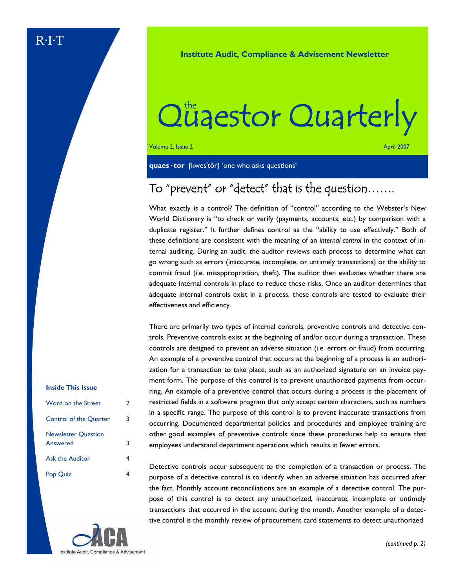**Institute Audit, Compliance & Advisement Newsletter** 

# Qüaestor Quarterly

Volume 2, Issue 2 April 2007

**quaes· tor** [kwes'tôr] 'one who asks questions'

### To "prevent" or "detect" that is the question…….

What exactly is a control? The definition of "control" according to the Webster's New World Dictionary is "to check or verify (payments, accounts, etc.) by comparison with a duplicate register." It further defines control as the "ability to use effectively." Both of these definitions are consistent with the meaning of an *internal control* in the context of internal auditing. During an audit, the auditor reviews each process to determine what can go wrong such as errors (inaccurate, incomplete, or untimely transactions) or the ability to commit fraud (i.e. misappropriation, theft). The auditor then evaluates whether there are adequate internal controls in place to reduce these risks. Once an auditor determines that adequate internal controls exist in a process, these controls are tested to evaluate their effectiveness and efficiency.

There are primarily two types of internal controls, preventive controls and detective controls. Preventive controls exist at the beginning of and/or occur during a transaction. These controls are designed to prevent an adverse situation (i.e. errors or fraud) from occurring. An example of a preventive control that occurs at the beginning of a process is an authorization for a transaction to take place, such as an authorized signature on an invoice payment form. The purpose of this control is to prevent unauthorized payments from occurring. An example of a preventive control that occurs during a process is the placement of restricted fields in a software program that only accept certain characters, such as numbers in a specific range. The purpose of this control is to prevent inaccurate transactions from occurring. Documented departmental policies and procedures and employee training are other good examples of preventive controls since these procedures help to ensure that employees understand department operations which results in fewer errors.

Detective controls occur subsequent to the completion of a transaction or process. The purpose of a detective control is to identify when an adverse situation has occurred after the fact. Monthly account reconciliations are an example of a detective control. The purpose of this control is to detect any unauthorized, inaccurate, incomplete or untimely transactions that occurred in the account during the month. Another example of a detective control is the monthly review of procurement card statements to detect unauthorized

### **Inside This Issue**

| Word on the Street                     | 2 |
|----------------------------------------|---|
| <b>Control of the Quarter</b>          | 3 |
| <b>Newsletter Question</b><br>Answered | 3 |
| <b>Ask the Auditor</b>                 | 4 |
| Pop Quiz                               |   |

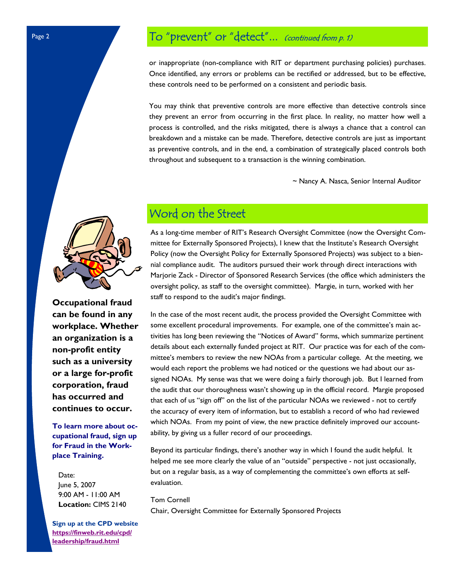# To "prevent" or "detect"... (continued from p. 1)

or inappropriate (non-compliance with RIT or department purchasing policies) purchases. Once identified, any errors or problems can be rectified or addressed, but to be effective, these controls need to be performed on a consistent and periodic basis.

You may think that preventive controls are more effective than detective controls since they prevent an error from occurring in the first place. In reality, no matter how well a process is controlled, and the risks mitigated, there is always a chance that a control can breakdown and a mistake can be made. Therefore, detective controls are just as important as preventive controls, and in the end, a combination of strategically placed controls both throughout and subsequent to a transaction is the winning combination.

~ Nancy A. Nasca, Senior Internal Auditor



**Occupational fraud can be found in any workplace. Whether an organization is a non-profit entity such as a university or a large for-profit corporation, fraud has occurred and continues to occur.** 

**To learn more about occupational fraud, sign up for Fraud in the Workplace Training.** 

 Date: June 5, 2007 9:00 AM - 11:00 AM  **Location:** CIMS 2140

**Sign up at the CPD website https://finweb.rit.edu/cpd/ leadership/fraud.html**

# Word on the Street

As a long-time member of RIT's Research Oversight Committee (now the Oversight Committee for Externally Sponsored Projects), I knew that the Institute's Research Oversight Policy (now the Oversight Policy for Externally Sponsored Projects) was subject to a biennial compliance audit. The auditors pursued their work through direct interactions with Marjorie Zack - Director of Sponsored Research Services (the office which administers the oversight policy, as staff to the oversight committee). Margie, in turn, worked with her staff to respond to the audit's major findings.

In the case of the most recent audit, the process provided the Oversight Committee with some excellent procedural improvements. For example, one of the committee's main activities has long been reviewing the "Notices of Award" forms, which summarize pertinent details about each externally funded project at RIT. Our practice was for each of the committee's members to review the new NOAs from a particular college. At the meeting, we would each report the problems we had noticed or the questions we had about our assigned NOAs. My sense was that we were doing a fairly thorough job. But I learned from the audit that our thoroughness wasn't showing up in the official record. Margie proposed that each of us "sign off" on the list of the particular NOAs we reviewed - not to certify the accuracy of every item of information, but to establish a record of who had reviewed which NOAs. From my point of view, the new practice definitely improved our accountability, by giving us a fuller record of our proceedings.

Beyond its particular findings, there's another way in which I found the audit helpful. It helped me see more clearly the value of an "outside" perspective - not just occasionally, but on a regular basis, as a way of complementing the committee's own efforts at selfevaluation.

Tom Cornell

Chair, Oversight Committee for Externally Sponsored Projects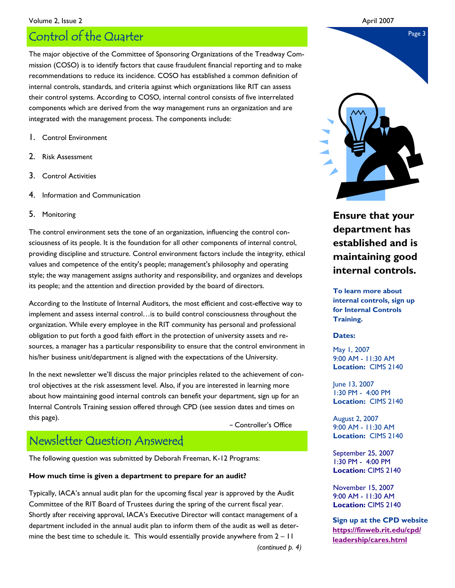### Volume 2, Issue 2 April 2007

# Page 3 Control of the Quarter

The major objective of the Committee of Sponsoring Organizations of the Treadway Commission (COSO) is to identify factors that cause fraudulent financial reporting and to make recommendations to reduce its incidence. COSO has established a common definition of internal controls, standards, and criteria against which organizations like RIT can assess their control systems. According to COSO, internal control consists of five interrelated components which are derived from the way management runs an organization and are integrated with the management process. The components include:

- 1. Control Environment
- 2. Risk Assessment
- 3. Control Activities
- 4. Information and Communication
- 5. Monitoring

The control environment sets the tone of an organization, influencing the control consciousness of its people. It is the foundation for all other components of internal control, providing discipline and structure. Control environment factors include the integrity, ethical values and competence of the entity's people; management's philosophy and operating style; the way management assigns authority and responsibility, and organizes and develops its people; and the attention and direction provided by the board of directors.

According to the Institute of Internal Auditors, the most efficient and cost-effective way to implement and assess internal control…is to build control consciousness throughout the organization. While every employee in the RIT community has personal and professional obligation to put forth a good faith effort in the protection of university assets and resources, a manager has a particular responsibility to ensure that the control environment in his/her business unit/department is aligned with the expectations of the University.

In the next newsletter we'll discuss the major principles related to the achievement of control objectives at the risk assessment level. Also, if you are interested in learning more about how maintaining good internal controls can benefit your department, sign up for an Internal Controls Training session offered through CPD (see session dates and times on this page).

~ Controller's Office

### Newsletter Question Answered

The following question was submitted by Deborah Freeman, K-12 Programs:

### **How much time is given a department to prepare for an audit?**

Typically, IACA's annual audit plan for the upcoming fiscal year is approved by the Audit Committee of the RIT Board of Trustees during the spring of the current fiscal year. Shortly after receiving approval, IACA's Executive Director will contact management of a department included in the annual audit plan to inform them of the audit as well as determine the best time to schedule it. This would essentially provide anywhere from  $2 - 11$ *(continued p. 4)* 

### **Ensure that your department has established and is maintaining good internal controls.**

**To learn more about internal controls, sign up for Internal Controls Training.** 

### **Dates:**

May 1, 2007 9:00 AM - 11:30 AM **Location:** CIMS 2140

June 13, 2007 1:30 PM - 4:00 PM **Location:** CIMS 2140

August 2, 2007 9:00 AM - 11:30 AM **Location:** CIMS 2140

September 25, 2007 1:30 PM - 4:00 PM **Location:** CIMS 2140

November 15, 2007 9:00 AM - 11:30 AM **Location:** CIMS 2140

**Sign up at the CPD website https://finweb.rit.edu/cpd/ leadership/cares.html**